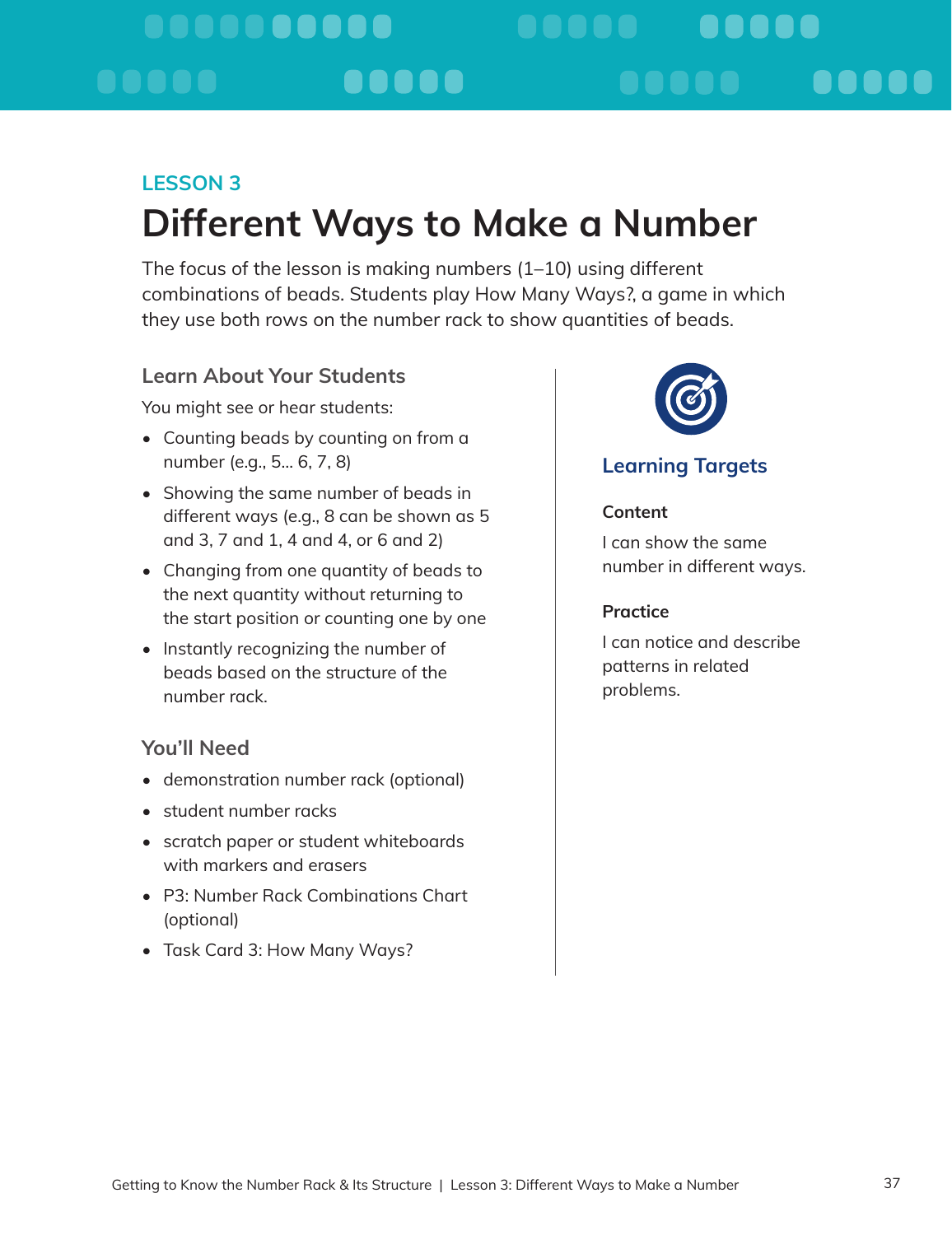#### <u>. . . . . . . . . . .</u> **..... .....** a da a a a a a a a

# **LESSON 3: Different Ways to Make a Number**

The focus of the lesson is making numbers (1–10) using different combinations of beads. Students play How Many Ways?, a game in which they use both rows on the number rack to show quantities of beads.

## **Learn About Your Students**

You might see or hear students:

- Counting beads by counting on from a number (e.g., 5… 6, 7, 8)
- Showing the same number of beads in different ways (e.g., 8 can be shown as 5 and 3, 7 and 1, 4 and 4, or 6 and 2)
- Changing from one quantity of beads to the next quantity without returning to the start position or counting one by one
- Instantly recognizing the number of beads based on the structure of the number rack.

### **You'll Need**

- demonstration number rack (optional)
- student number racks
- scratch paper or student whiteboards with markers and erasers
- P3: Number Rack Combinations Chart (optional)
- Task Card 3: How Many Ways?



## **Learning Targets**

### **Content**

I can show the same number in different ways.

### **Practice**

I can notice and describe patterns in related problems.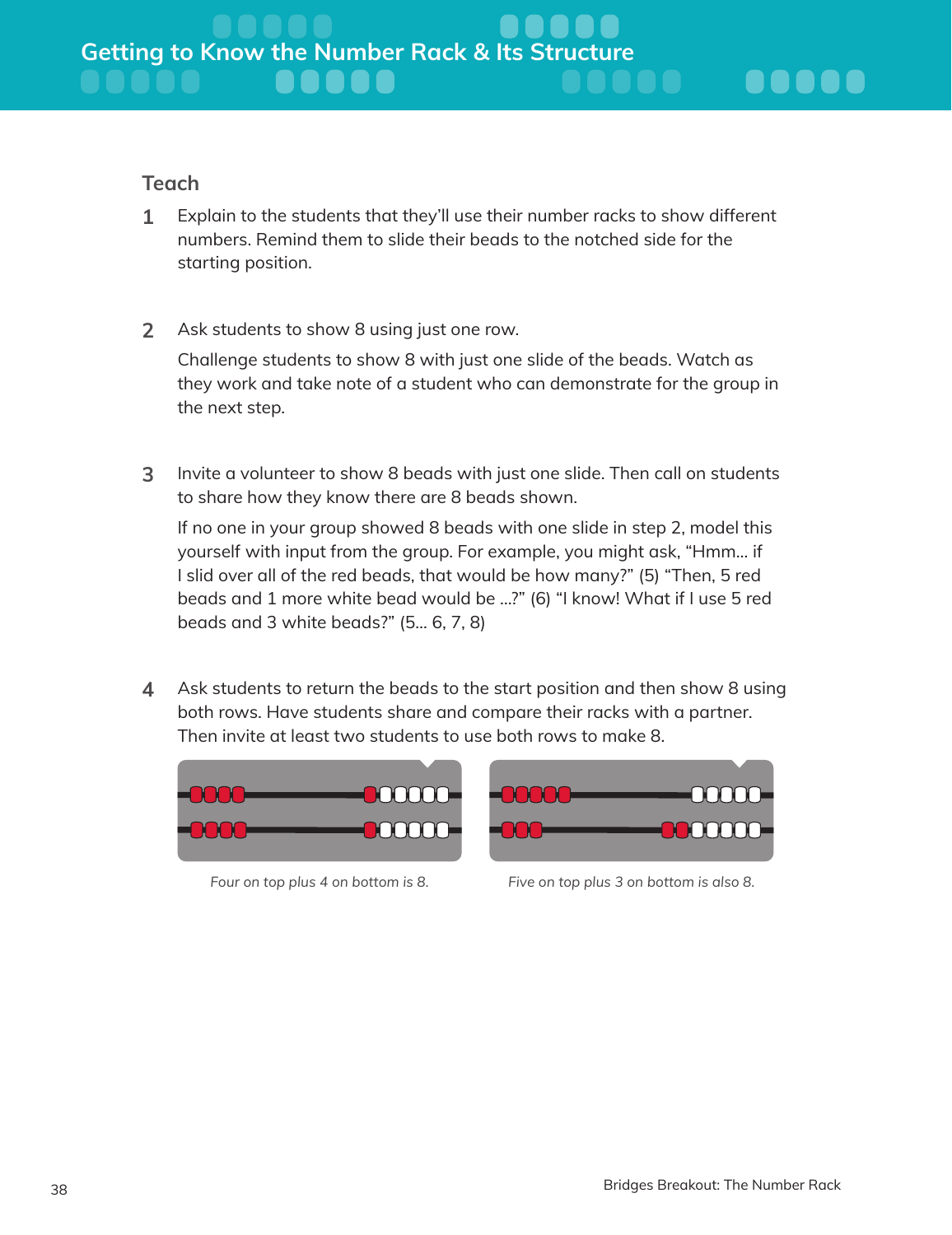### **Teach**

- **1** Explain to the students that they'll use their number racks to show different numbers. Remind them to slide their beads to the notched side for the starting position.
- **2** Ask students to show 8 using just one row.

Challenge students to show 8 with just one slide of the beads. Watch as they work and take note of a student who can demonstrate for the group in the next step.

**3** Invite a volunteer to show 8 beads with just one slide. Then call on students to share how they know there are 8 beads shown.

If no one in your group showed 8 beads with one slide in step 2, model this yourself with input from the group. For example, you might ask, "Hmm… if I slid over all of the red beads, that would be how many?" (5) "Then, 5 red beads and 1 more white bead would be …?" (6) "I know! What if I use 5 red beads and 3 white beads?" (5… 6, 7, 8)

**4** Ask students to return the beads to the start position and then show 8 using both rows. Have students share and compare their racks with a partner. Then invite at least two students to use both rows to make 8.





*Four on top plus 4 on bottom is 8. Five on top plus 3 on bottom is also 8.*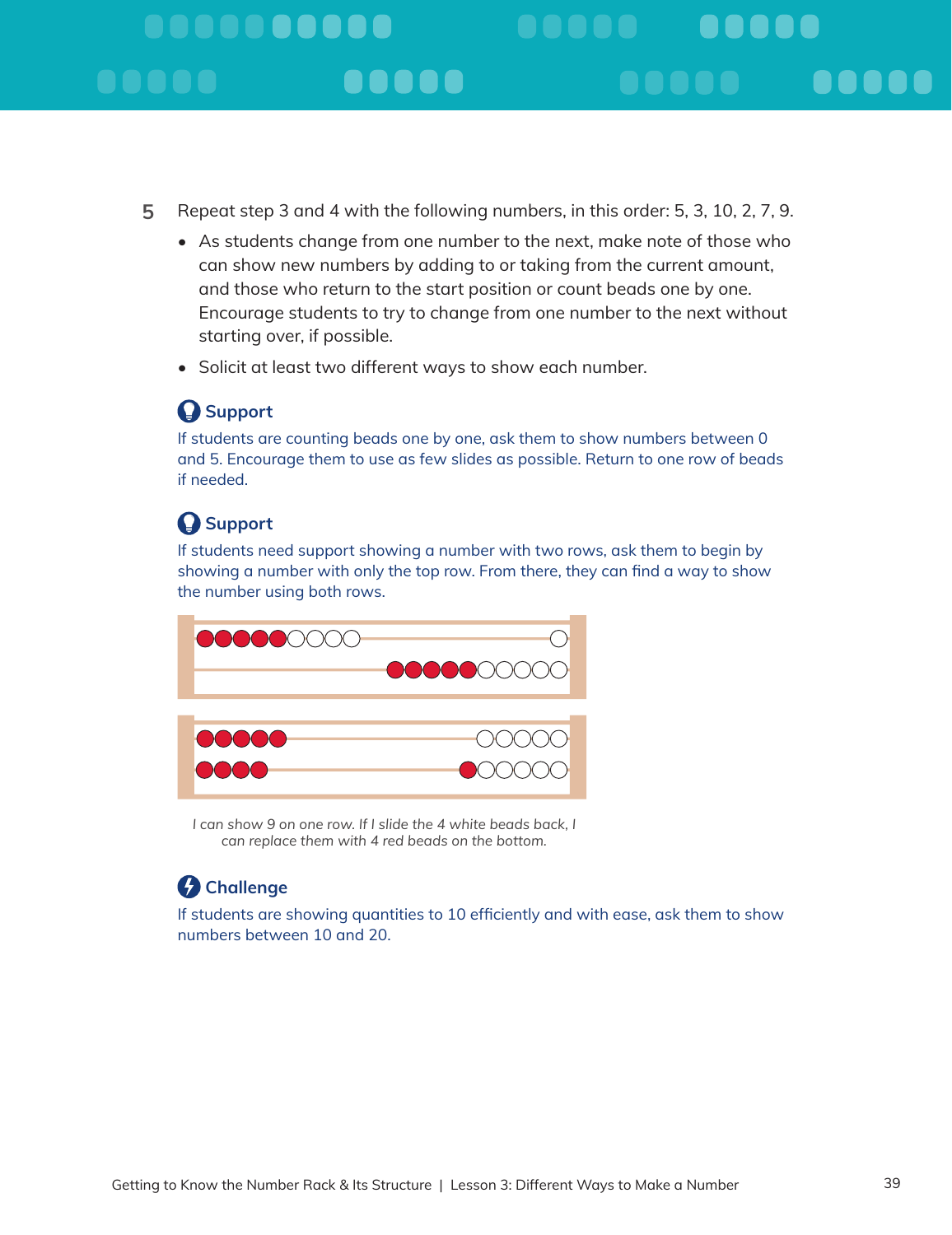# . . . . . . . . . . . **..... .....**

- **5** Repeat step 3 and 4 with the following numbers, in this order: 5, 3, 10, 2, 7, 9.
	- As students change from one number to the next, make note of those who can show new numbers by adding to or taking from the current amount, and those who return to the start position or count beads one by one. Encourage students to try to change from one number to the next without starting over, if possible.
	- Solicit at least two different ways to show each number.

## **Support**

If students are counting beads one by one, ask them to show numbers between 0 and 5. Encourage them to use as few slides as possible. Return to one row of beads if needed.

## **Support**

If students need support showing a number with two rows, ask them to begin by showing a number with only the top row. From there, they can find a way to show the number using both rows.



*I* can show 9 on one row. If I slide the 4 white beads back. I *can replace them with 4 red beads on the bottom.*

## **Challenge**

If students are showing quantities to 10 efficiently and with ease, ask them to show numbers between 10 and 20.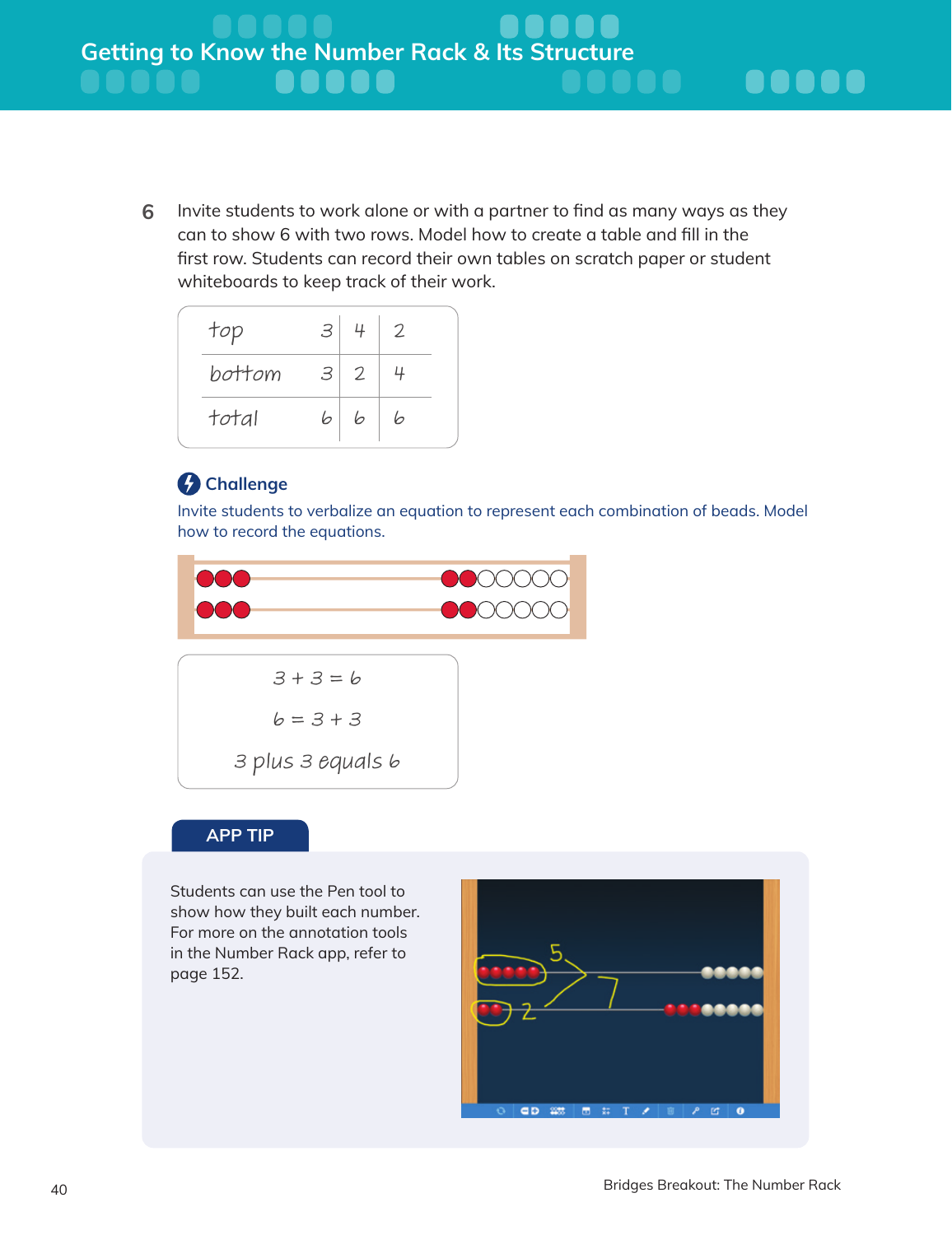**6** Invite students to work alone or with a partner to find as many ways as they can to show 6 with two rows. Model how to create a table and fill in the first row. Students can record their own tables on scratch paper or student whiteboards to keep track of their work.

| bottom<br>$3\vert 2$<br>total<br> b <br>6<br>Ь | top | 3 <sup>1</sup> | 4 | 2 |  |
|------------------------------------------------|-----|----------------|---|---|--|
|                                                |     |                |   |   |  |
|                                                |     |                |   |   |  |

## *C* Challenge

Invite students to verbalize an equation to represent each combination of beads. Model how to record the equations.



### **APP TIP**

Students can use the Pen tool to show how they built each number. For more on the annotation tools in the Number Rack app, refer to page 152.

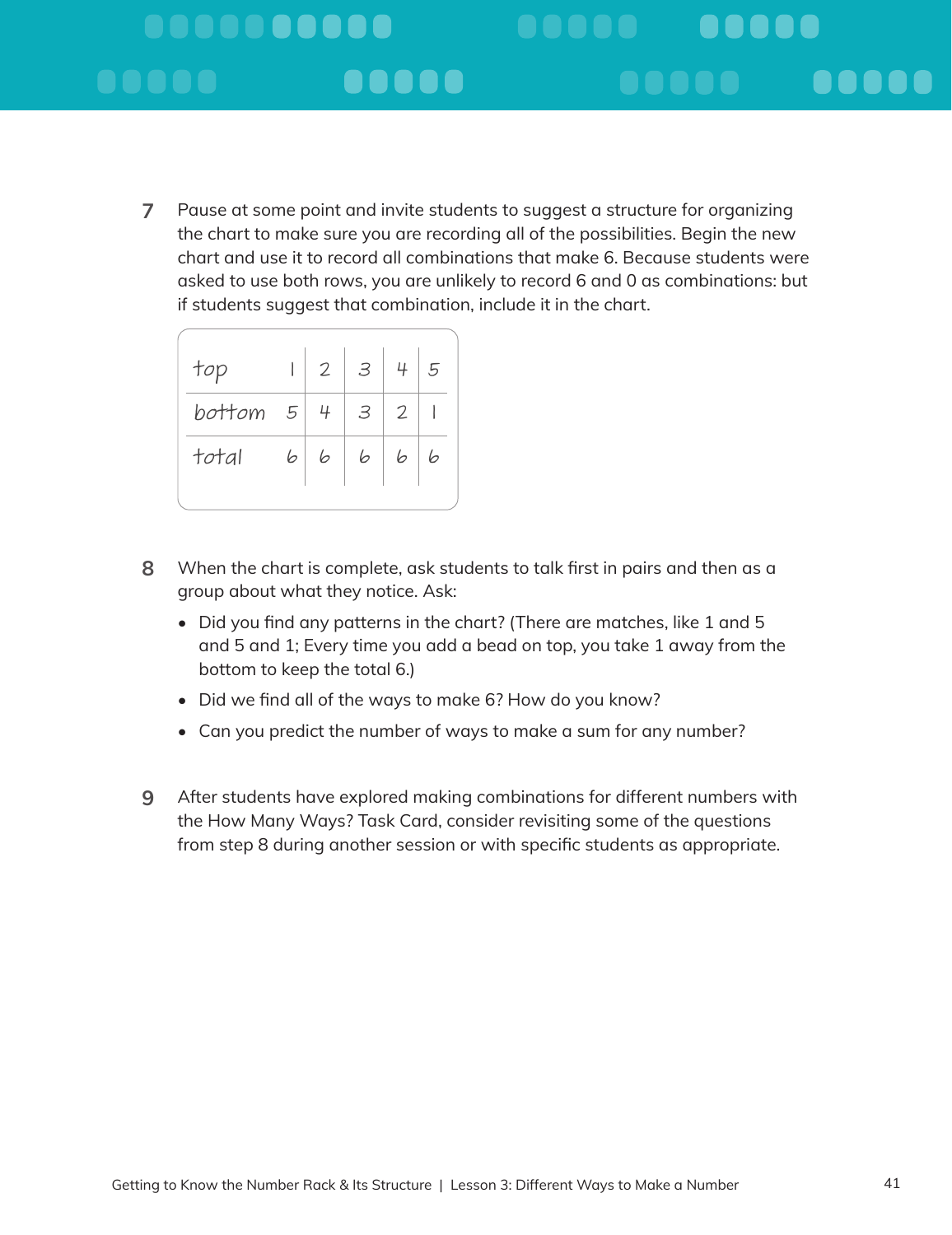#### **..........** . . . . . **..... .....** e e e e e a a a a a

**7** Pause at some point and invite students to suggest a structure for organizing the chart to make sure you are recording all of the possibilities. Begin the new chart and use it to record all combinations that make 6. Because students were asked to use both rows, you are unlikely to record 6 and 0 as combinations: but if students suggest that combination, include it in the chart.

| top      |   | $\overline{2}$ | $\mid$ 3                    | 4 | 5 |  |
|----------|---|----------------|-----------------------------|---|---|--|
| bottom 5 |   | - 4            | $\mathcal{S}_{\mathcal{S}}$ | 2 |   |  |
| total    | 6 | 6              | 6                           | Ь | 6 |  |
|          |   |                |                             |   |   |  |

- **8** When the chart is complete, ask students to talk first in pairs and then as a group about what they notice. Ask:
	- Did you find any patterns in the chart? (There are matches, like 1 and 5 and 5 and 1; Every time you add a bead on top, you take 1 away from the bottom to keep the total 6.)
	- Did we find all of the ways to make 6? How do you know?
	- Can you predict the number of ways to make a sum for any number?
- **9** After students have explored making combinations for different numbers with the How Many Ways? Task Card, consider revisiting some of the questions from step 8 during another session or with specific students as appropriate.